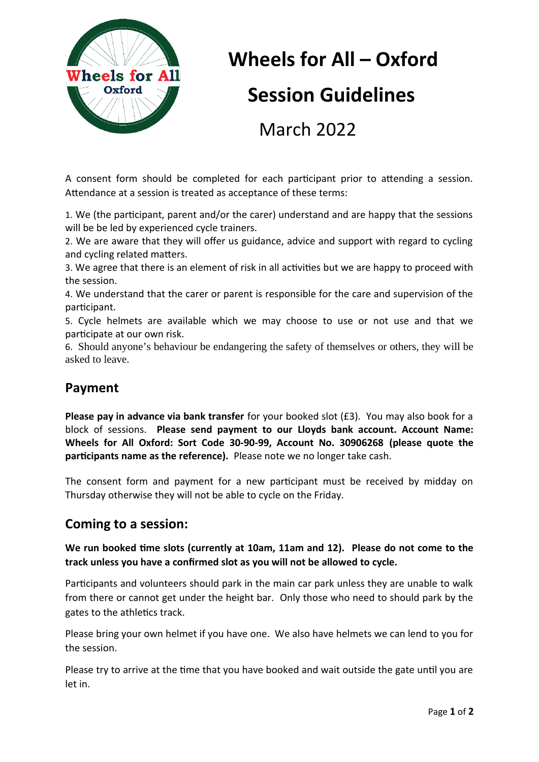

# **Wheels for All – Oxford Session Guidelines** March 2022

A consent form should be completed for each participant prior to attending a session. Attendance at a session is treated as acceptance of these terms:

1. We (the participant, parent and/or the carer) understand and are happy that the sessions will be be led by experienced cycle trainers.

2. We are aware that they will offer us guidance, advice and support with regard to cycling and cycling related matters.

3. We agree that there is an element of risk in all activities but we are happy to proceed with the session.

4. We understand that the carer or parent is responsible for the care and supervision of the participant.

5. Cycle helmets are available which we may choose to use or not use and that we participate at our own risk.

6. Should anyone's behaviour be endangering the safety of themselves or others, they will be asked to leave.

## **Payment**

**Please pay in advance via bank transfer** for your booked slot (£3). You may also book for a block of sessions. **Please send payment to our Lloyds bank account. Account Name: Wheels for All Oxford: Sort Code 30-90-99, Account No. 30906268 (please quote the participants name as the reference).** Please note we no longer take cash.

The consent form and payment for a new participant must be received by midday on Thursday otherwise they will not be able to cycle on the Friday.

#### **Coming to a session:**

**We run booked time slots (currently at 10am, 11am and 12). Please do not come to the track unless you have a confirmed slot as you will not be allowed to cycle.**

Participants and volunteers should park in the main car park unless they are unable to walk from there or cannot get under the height bar. Only those who need to should park by the gates to the athletics track.

Please bring your own helmet if you have one. We also have helmets we can lend to you for the session.

Please try to arrive at the time that you have booked and wait outside the gate until you are let in.